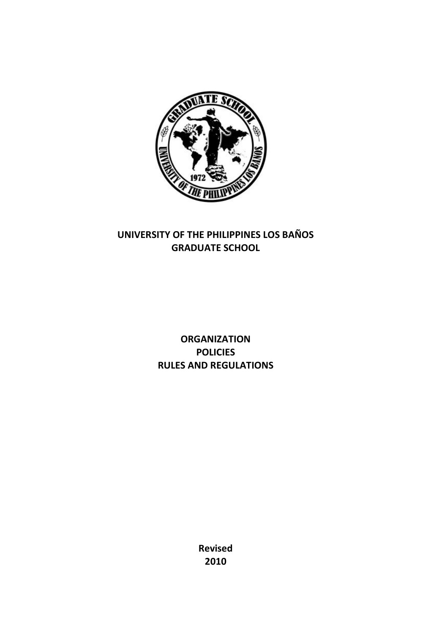

# **UNIVERSITY OF THE PHILIPPINES LOS BAÑOS GRADUATE SCHOOL**

**ORGANIZATION POLICIES RULES AND REGULATIONS**

> **Revised 2010**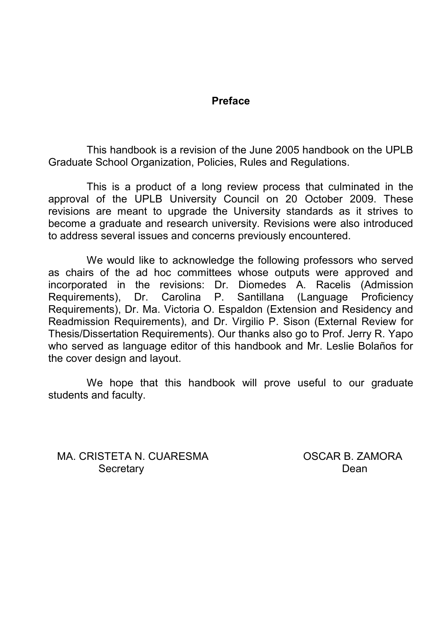### **Preface**

This handbook is a revision of the June 2005 handbook on the UPLB Graduate School Organization, Policies, Rules and Regulations.

This is a product of a long review process that culminated in the approval of the UPLB University Council on 20 October 2009. These revisions are meant to upgrade the University standards as it strives to become a graduate and research university. Revisions were also introduced to address several issues and concerns previously encountered.

We would like to acknowledge the following professors who served as chairs of the ad hoc committees whose outputs were approved and incorporated in the revisions: Dr. Diomedes A. Racelis (Admission Requirements), Dr. Carolina P. Santillana (Language Proficiency Requirements), Dr. Ma. Victoria O. Espaldon (Extension and Residency and Readmission Requirements), and Dr. Virgilio P. Sison (External Review for Thesis/Dissertation Requirements). Our thanks also go to Prof. Jerry R. Yapo who served as language editor of this handbook and Mr. Leslie Bolaños for the cover design and layout.

We hope that this handbook will prove useful to our graduate students and faculty.

MA. CRISTETA N. CUARESMA OSCAR B. ZAMORA Secretary **Dean**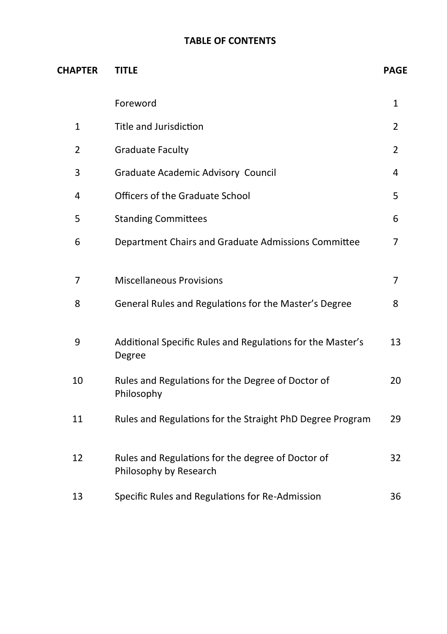# **TABLE OF CONTENTS**

| <b>CHAPTER</b> | <b>TITLE</b>                                                                |                |
|----------------|-----------------------------------------------------------------------------|----------------|
|                | Foreword                                                                    | $\mathbf{1}$   |
| $\mathbf{1}$   | Title and Jurisdiction                                                      | $\overline{2}$ |
| $\overline{2}$ | <b>Graduate Faculty</b>                                                     | $\overline{2}$ |
| 3              | Graduate Academic Advisory Council                                          | 4              |
| 4              | Officers of the Graduate School                                             | 5              |
| 5              | <b>Standing Committees</b>                                                  | 6              |
| 6              | Department Chairs and Graduate Admissions Committee                         | 7              |
| 7              | <b>Miscellaneous Provisions</b>                                             | 7              |
| 8              | General Rules and Regulations for the Master's Degree                       | 8              |
| 9              | Additional Specific Rules and Regulations for the Master's<br>Degree        | 13             |
| 10             | Rules and Regulations for the Degree of Doctor of<br>Philosophy             | 20             |
| 11             | Rules and Regulations for the Straight PhD Degree Program                   | 29             |
| 12             | Rules and Regulations for the degree of Doctor of<br>Philosophy by Research | 32             |
| 13             | Specific Rules and Regulations for Re-Admission                             | 36             |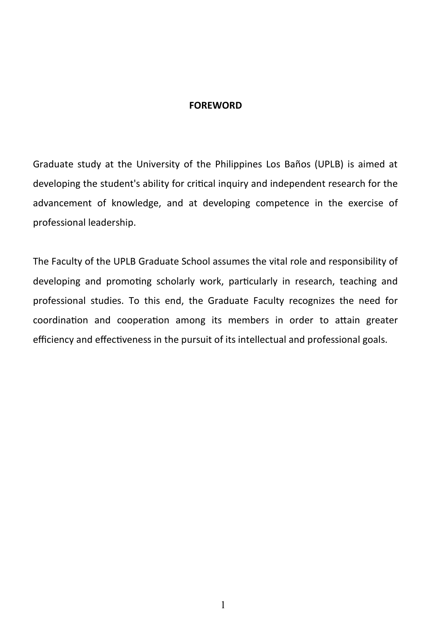#### **FOREWORD**

Graduate study at the University of the Philippines Los Baños (UPLB) is aimed at developing the student's ability for critical inquiry and independent research for the advancement of knowledge, and at developing competence in the exercise of professional leadership.

The Faculty of the UPLB Graduate School assumes the vital role and responsibility of developing and promoting scholarly work, particularly in research, teaching and professional studies. To this end, the Graduate Faculty recognizes the need for coordination and cooperation among its members in order to attain greater efficiency and effectiveness in the pursuit of its intellectual and professional goals.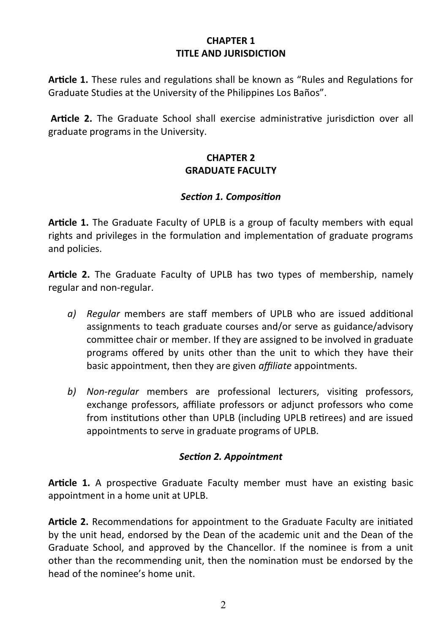#### **CHAPTER 1 TITLE AND JURISDICTION**

**Article 1.** These rules and regulations shall be known as "Rules and Regulations for Graduate Studies at the University of the Philippines Los Baños".

**Article 2.** The Graduate School shall exercise administrative jurisdiction over all graduate programs in the University.

# **CHAPTER 2 GRADUATE FACULTY**

# *Section 1. Composition*

**Article 1.** The Graduate Faculty of UPLB is a group of faculty members with equal rights and privileges in the formulation and implementation of graduate programs and policies.

**Article 2.** The Graduate Faculty of UPLB has two types of membership, namely regular and non-regular.

- *a) Regular* members are staff members of UPLB who are issued additional assignments to teach graduate courses and/or serve as guidance/advisory committee chair or member. If they are assigned to be involved in graduate programs offered by units other than the unit to which they have their basic appointment, then they are given *affiliate* appointments.
- *b) Non-regular* members are professional lecturers, visiting professors, exchange professors, affiliate professors or adjunct professors who come from institutions other than UPLB (including UPLB retirees) and are issued appointments to serve in graduate programs of UPLB.

# *Section 2. Appointment*

**Article 1.** A prospective Graduate Faculty member must have an existing basic appointment in a home unit at UPLB.

**Article 2.** Recommendations for appointment to the Graduate Faculty are initiated by the unit head, endorsed by the Dean of the academic unit and the Dean of the Graduate School, and approved by the Chancellor. If the nominee is from a unit other than the recommending unit, then the nomination must be endorsed by the head of the nominee's home unit.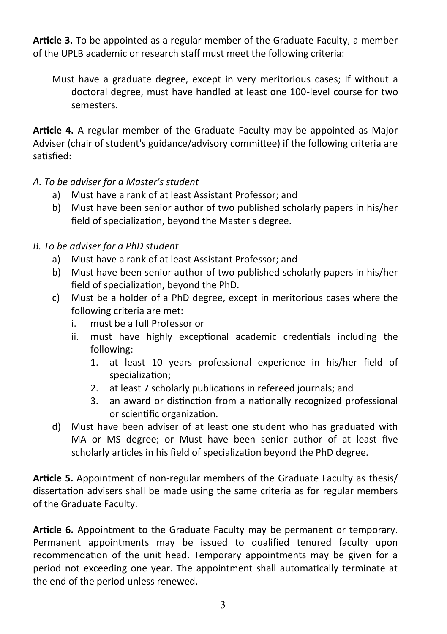**Article 3.** To be appointed as a regular member of the Graduate Faculty, a member of the UPLB academic or research staff must meet the following criteria:

Must have a graduate degree, except in very meritorious cases; If without a doctoral degree, must have handled at least one 100-level course for two semesters.

**Article 4.** A regular member of the Graduate Faculty may be appointed as Major Adviser (chair of student's guidance/advisory committee) if the following criteria are satisfied:

- *A. To be adviser for a Master's student*
	- a) Must have a rank of at least Assistant Professor; and
	- b) Must have been senior author of two published scholarly papers in his/her field of specialization, beyond the Master's degree.

# *B. To be adviser for a PhD student*

- a) Must have a rank of at least Assistant Professor; and
- b) Must have been senior author of two published scholarly papers in his/her field of specialization, beyond the PhD.
- c) Must be a holder of a PhD degree, except in meritorious cases where the following criteria are met:
	- i. must be a full Professor or
	- ii. must have highly exceptional academic credentials including the following:
		- 1. at least 10 years professional experience in his/her field of specialization;
		- 2. at least 7 scholarly publications in refereed journals; and
		- 3. an award or distinction from a nationally recognized professional or scientific organization.
- d) Must have been adviser of at least one student who has graduated with MA or MS degree; or Must have been senior author of at least five scholarly articles in his field of specialization beyond the PhD degree.

**Article 5.** Appointment of non-regular members of the Graduate Faculty as thesis/ dissertation advisers shall be made using the same criteria as for regular members of the Graduate Faculty.

**Article 6.** Appointment to the Graduate Faculty may be permanent or temporary. Permanent appointments may be issued to qualified tenured faculty upon recommendation of the unit head. Temporary appointments may be given for a period not exceeding one year. The appointment shall automatically terminate at the end of the period unless renewed.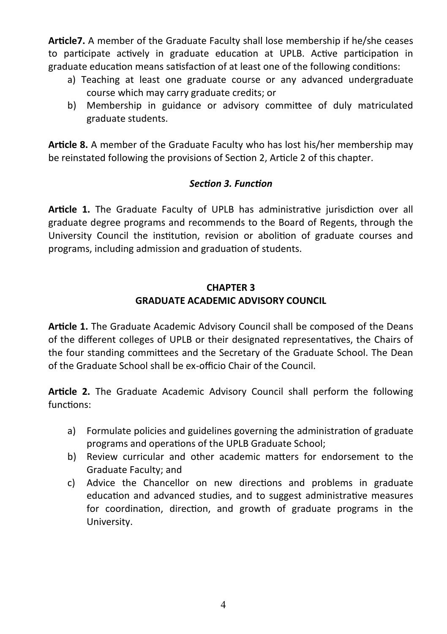**Article7.** A member of the Graduate Faculty shall lose membership if he/she ceases to participate actively in graduate education at UPLB. Active participation in graduate education means satisfaction of at least one of the following conditions:

- a) Teaching at least one graduate course or any advanced undergraduate course which may carry graduate credits; or
- b) Membership in guidance or advisory committee of duly matriculated graduate students.

**Article 8.** A member of the Graduate Faculty who has lost his/her membership may be reinstated following the provisions of Section 2, Article 2 of this chapter.

### *Section 3. Function*

**Article 1.** The Graduate Faculty of UPLB has administrative jurisdiction over all graduate degree programs and recommends to the Board of Regents, through the University Council the institution, revision or abolition of graduate courses and programs, including admission and graduation of students.

### **CHAPTER 3 GRADUATE ACADEMIC ADVISORY COUNCIL**

**Article 1.** The Graduate Academic Advisory Council shall be composed of the Deans of the different colleges of UPLB or their designated representatives, the Chairs of the four standing committees and the Secretary of the Graduate School. The Dean of the Graduate School shall be ex-officio Chair of the Council.

**Article 2.** The Graduate Academic Advisory Council shall perform the following functions:

- a) Formulate policies and guidelines governing the administration of graduate programs and operations of the UPLB Graduate School;
- b) Review curricular and other academic matters for endorsement to the Graduate Faculty; and
- c) Advice the Chancellor on new directions and problems in graduate education and advanced studies, and to suggest administrative measures for coordination, direction, and growth of graduate programs in the University.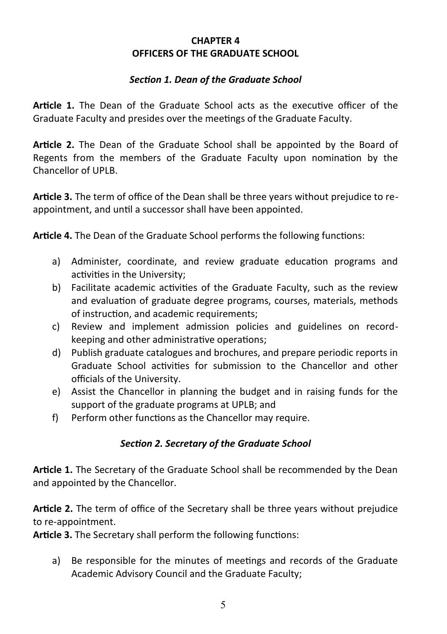### **CHAPTER 4 OFFICERS OF THE GRADUATE SCHOOL**

### *Section 1. Dean of the Graduate School*

**Article 1.** The Dean of the Graduate School acts as the executive officer of the Graduate Faculty and presides over the meetings of the Graduate Faculty.

**Article 2.** The Dean of the Graduate School shall be appointed by the Board of Regents from the members of the Graduate Faculty upon nomination by the Chancellor of UPLB.

**Article 3.** The term of office of the Dean shall be three years without prejudice to reappointment, and until a successor shall have been appointed.

**Article 4.** The Dean of the Graduate School performs the following functions:

- a) Administer, coordinate, and review graduate education programs and activities in the University;
- b) Facilitate academic activities of the Graduate Faculty, such as the review and evaluation of graduate degree programs, courses, materials, methods of instruction, and academic requirements;
- c) Review and implement admission policies and guidelines on recordkeeping and other administrative operations;
- d) Publish graduate catalogues and brochures, and prepare periodic reports in Graduate School activities for submission to the Chancellor and other officials of the University.
- e) Assist the Chancellor in planning the budget and in raising funds for the support of the graduate programs at UPLB; and
- f) Perform other functions as the Chancellor may require.

# *Section 2. Secretary of the Graduate School*

**Article 1.** The Secretary of the Graduate School shall be recommended by the Dean and appointed by the Chancellor.

**Article 2.** The term of office of the Secretary shall be three years without prejudice to re-appointment.

**Article 3.** The Secretary shall perform the following functions:

a) Be responsible for the minutes of meetings and records of the Graduate Academic Advisory Council and the Graduate Faculty;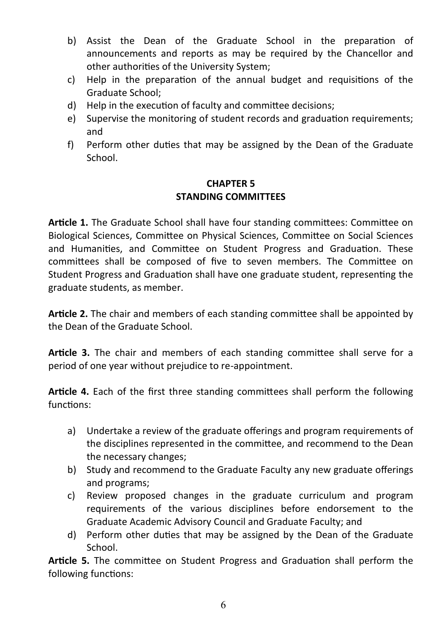- b) Assist the Dean of the Graduate School in the preparation of announcements and reports as may be required by the Chancellor and other authorities of the University System;
- c) Help in the preparation of the annual budget and requisitions of the Graduate School;
- d) Help in the execution of faculty and committee decisions;
- e) Supervise the monitoring of student records and graduation requirements; and
- f) Perform other duties that may be assigned by the Dean of the Graduate School.

# **CHAPTER 5 STANDING COMMITTEES**

**Article 1.** The Graduate School shall have four standing committees: Committee on Biological Sciences, Committee on Physical Sciences, Committee on Social Sciences and Humanities, and Committee on Student Progress and Graduation. These committees shall be composed of five to seven members. The Committee on Student Progress and Graduation shall have one graduate student, representing the graduate students, as member.

**Article 2.** The chair and members of each standing committee shall be appointed by the Dean of the Graduate School.

**Article 3.** The chair and members of each standing committee shall serve for a period of one year without prejudice to re-appointment.

**Article 4.** Each of the first three standing committees shall perform the following functions:

- a) Undertake a review of the graduate offerings and program requirements of the disciplines represented in the committee, and recommend to the Dean the necessary changes;
- b) Study and recommend to the Graduate Faculty any new graduate offerings and programs;
- c) Review proposed changes in the graduate curriculum and program requirements of the various disciplines before endorsement to the Graduate Academic Advisory Council and Graduate Faculty; and
- d) Perform other duties that may be assigned by the Dean of the Graduate School.

**Article 5.** The committee on Student Progress and Graduation shall perform the following functions: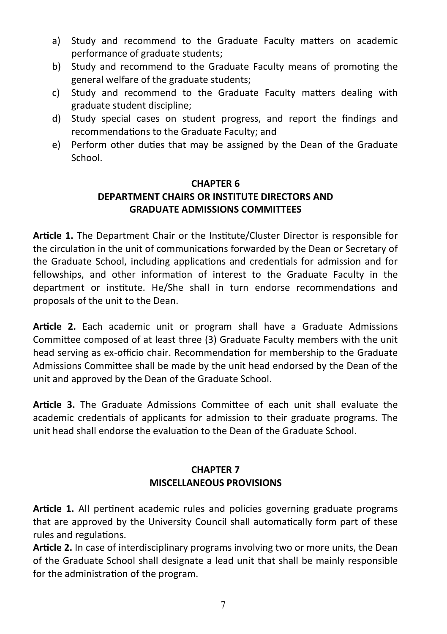- a) Study and recommend to the Graduate Faculty matters on academic performance of graduate students;
- b) Study and recommend to the Graduate Faculty means of promoting the general welfare of the graduate students;
- c) Study and recommend to the Graduate Faculty matters dealing with graduate student discipline;
- d) Study special cases on student progress, and report the findings and recommendations to the Graduate Faculty; and
- e) Perform other duties that may be assigned by the Dean of the Graduate School.

# **CHAPTER 6**

# **DEPARTMENT CHAIRS OR INSTITUTE DIRECTORS AND GRADUATE ADMISSIONS COMMITTEES**

**Article 1.** The Department Chair or the Institute/Cluster Director is responsible for the circulation in the unit of communications forwarded by the Dean or Secretary of the Graduate School, including applications and credentials for admission and for fellowships, and other information of interest to the Graduate Faculty in the department or institute. He/She shall in turn endorse recommendations and proposals of the unit to the Dean.

**Article 2.** Each academic unit or program shall have a Graduate Admissions Committee composed of at least three (3) Graduate Faculty members with the unit head serving as ex-officio chair. Recommendation for membership to the Graduate Admissions Committee shall be made by the unit head endorsed by the Dean of the unit and approved by the Dean of the Graduate School.

**Article 3.** The Graduate Admissions Committee of each unit shall evaluate the academic credentials of applicants for admission to their graduate programs. The unit head shall endorse the evaluation to the Dean of the Graduate School.

# **CHAPTER 7 MISCELLANEOUS PROVISIONS**

**Article 1.** All pertinent academic rules and policies governing graduate programs that are approved by the University Council shall automatically form part of these rules and regulations.

**Article 2.** In case of interdisciplinary programs involving two or more units, the Dean of the Graduate School shall designate a lead unit that shall be mainly responsible for the administration of the program.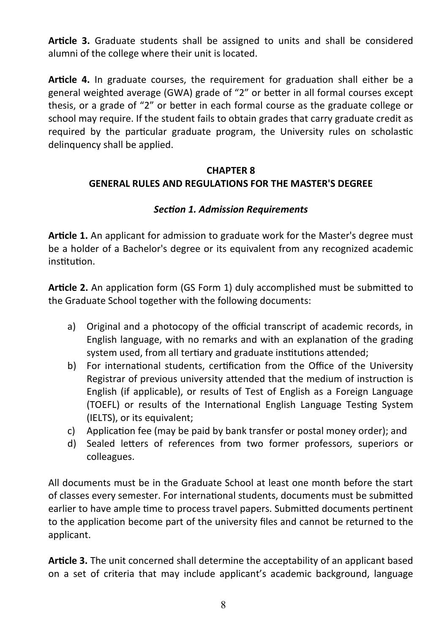**Article 3.** Graduate students shall be assigned to units and shall be considered alumni of the college where their unit is located.

**Article 4.** In graduate courses, the requirement for graduation shall either be a general weighted average (GWA) grade of "2" or better in all formal courses except thesis, or a grade of "2" or better in each formal course as the graduate college or school may require. If the student fails to obtain grades that carry graduate credit as required by the particular graduate program, the University rules on scholastic delinquency shall be applied.

# **CHAPTER 8 GENERAL RULES AND REGULATIONS FOR THE MASTER'S DEGREE**

# *Section 1. Admission Requirements*

**Article 1.** An applicant for admission to graduate work for the Master's degree must be a holder of a Bachelor's degree or its equivalent from any recognized academic institution.

**Article 2.** An application form (GS Form 1) duly accomplished must be submitted to the Graduate School together with the following documents:

- a) Original and a photocopy of the official transcript of academic records, in English language, with no remarks and with an explanation of the grading system used, from all tertiary and graduate institutions attended;
- b) For international students, certification from the Office of the University Registrar of previous university attended that the medium of instruction is English (if applicable), or results of Test of English as a Foreign Language (TOEFL) or results of the International English Language Testing System (IELTS), or its equivalent;
- c) Application fee (may be paid by bank transfer or postal money order); and
- d) Sealed letters of references from two former professors, superiors or colleagues.

All documents must be in the Graduate School at least one month before the start of classes every semester. For international students, documents must be submitted earlier to have ample time to process travel papers. Submitted documents pertinent to the application become part of the university files and cannot be returned to the applicant.

**Article 3.** The unit concerned shall determine the acceptability of an applicant based on a set of criteria that may include applicant's academic background, language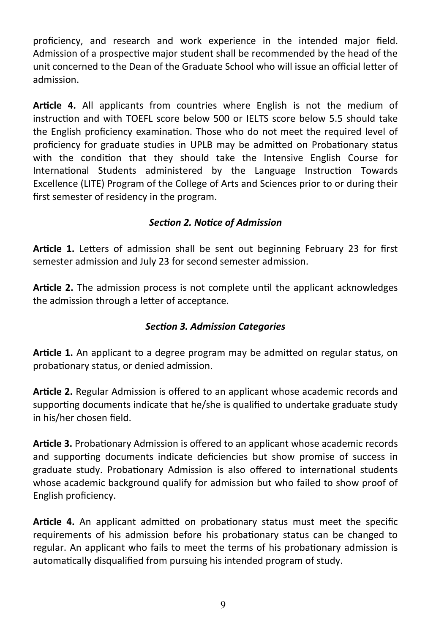proficiency, and research and work experience in the intended major field. Admission of a prospective major student shall be recommended by the head of the unit concerned to the Dean of the Graduate School who will issue an official letter of admission.

**Article 4.** All applicants from countries where English is not the medium of instruction and with TOEFL score below 500 or IELTS score below 5.5 should take the English proficiency examination. Those who do not meet the required level of proficiency for graduate studies in UPLB may be admitted on Probationary status with the condition that they should take the Intensive English Course for International Students administered by the Language Instruction Towards Excellence (LITE) Program of the College of Arts and Sciences prior to or during their first semester of residency in the program.

# *Section 2. Notice of Admission*

**Article 1.** Letters of admission shall be sent out beginning February 23 for first semester admission and July 23 for second semester admission.

**Article 2.** The admission process is not complete until the applicant acknowledges the admission through a letter of acceptance.

# *Section 3. Admission Categories*

**Article 1.** An applicant to a degree program may be admitted on regular status, on probationary status, or denied admission.

**Article 2.** Regular Admission is offered to an applicant whose academic records and supporting documents indicate that he/she is qualified to undertake graduate study in his/her chosen field.

**Article 3.** Probationary Admission is offered to an applicant whose academic records and supporting documents indicate deficiencies but show promise of success in graduate study. Probationary Admission is also offered to international students whose academic background qualify for admission but who failed to show proof of English proficiency.

**Article 4.** An applicant admitted on probationary status must meet the specific requirements of his admission before his probationary status can be changed to regular. An applicant who fails to meet the terms of his probationary admission is automatically disqualified from pursuing his intended program of study.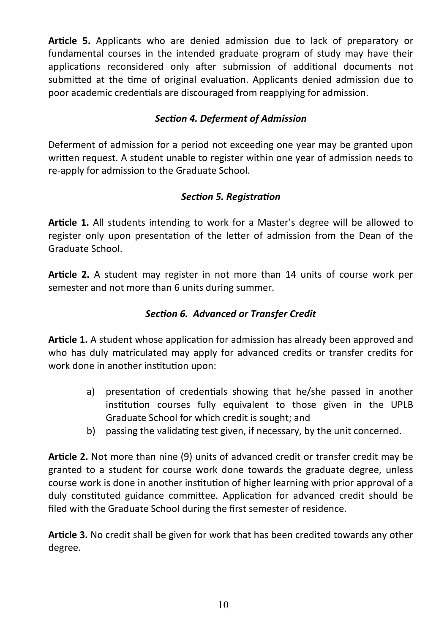**Article 5.** Applicants who are denied admission due to lack of preparatory or fundamental courses in the intended graduate program of study may have their applications reconsidered only after submission of additional documents not submitted at the time of original evaluation. Applicants denied admission due to poor academic credentials are discouraged from reapplying for admission.

# *Section 4. Deferment of Admission*

Deferment of admission for a period not exceeding one year may be granted upon written request. A student unable to register within one year of admission needs to re-apply for admission to the Graduate School.

# *Section 5. Registration*

**Article 1.** All students intending to work for a Master's degree will be allowed to register only upon presentation of the letter of admission from the Dean of the Graduate School.

**Article 2.** A student may register in not more than 14 units of course work per semester and not more than 6 units during summer.

# *Section 6. Advanced or Transfer Credit*

**Article 1.** A student whose application for admission has already been approved and who has duly matriculated may apply for advanced credits or transfer credits for work done in another institution upon:

- a) presentation of credentials showing that he/she passed in another institution courses fully equivalent to those given in the UPLB Graduate School for which credit is sought; and
- b) passing the validating test given, if necessary, by the unit concerned.

**Article 2.** Not more than nine (9) units of advanced credit or transfer credit may be granted to a student for course work done towards the graduate degree, unless course work is done in another institution of higher learning with prior approval of a duly constituted guidance committee. Application for advanced credit should be filed with the Graduate School during the first semester of residence.

**Article 3.** No credit shall be given for work that has been credited towards any other degree.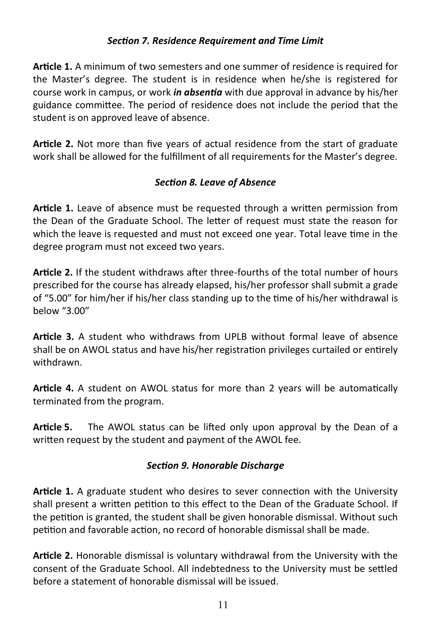# *Section 7. Residence Requirement and Time Limit*

**Article 1.** A minimum of two semesters and one summer of residence is required for the Master's degree. The student is in residence when he/she is registered for course work in campus, or work *in absentia* with due approval in advance by his/her guidance committee. The period of residence does not include the period that the student is on approved leave of absence.

**Article 2.** Not more than five years of actual residence from the start of graduate work shall be allowed for the fulfillment of all requirements for the Master's degree.

### *Section 8. Leave of Absence*

**Article 1.** Leave of absence must be requested through a written permission from the Dean of the Graduate School. The letter of request must state the reason for which the leave is requested and must not exceed one year. Total leave time in the degree program must not exceed two years.

**Article 2.** If the student withdraws after three-fourths of the total number of hours prescribed for the course has already elapsed, his/her professor shall submit a grade of "5.00" for him/her if his/her class standing up to the time of his/her withdrawal is below "3.00"

**Article 3.** A student who withdraws from UPLB without formal leave of absence shall be on AWOL status and have his/her registration privileges curtailed or entirely withdrawn.

**Article 4.** A student on AWOL status for more than 2 years will be automatically terminated from the program.

**Article 5.** The AWOL status can be lifted only upon approval by the Dean of a written request by the student and payment of the AWOL fee.

#### *Section 9. Honorable Discharge*

**Article 1.** A graduate student who desires to sever connection with the University shall present a written petition to this effect to the Dean of the Graduate School. If the petition is granted, the student shall be given honorable dismissal. Without such petition and favorable action, no record of honorable dismissal shall be made.

**Article 2.** Honorable dismissal is voluntary withdrawal from the University with the consent of the Graduate School. All indebtedness to the University must be settled before a statement of honorable dismissal will be issued.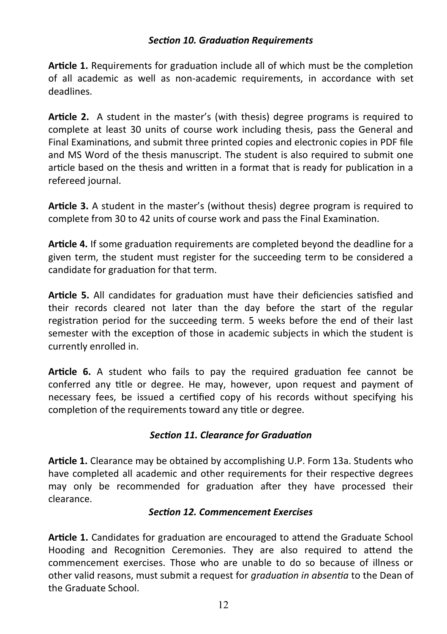### *Section 10. Graduation Requirements*

**Article 1.** Requirements for graduation include all of which must be the completion of all academic as well as non-academic requirements, in accordance with set deadlines.

**Article 2.** A student in the master's (with thesis) degree programs is required to complete at least 30 units of course work including thesis, pass the General and Final Examinations, and submit three printed copies and electronic copies in PDF file and MS Word of the thesis manuscript. The student is also required to submit one article based on the thesis and written in a format that is ready for publication in a refereed journal.

**Article 3.** A student in the master's (without thesis) degree program is required to complete from 30 to 42 units of course work and pass the Final Examination.

**Article 4.** If some graduation requirements are completed beyond the deadline for a given term, the student must register for the succeeding term to be considered a candidate for graduation for that term.

**Article 5.** All candidates for graduation must have their deficiencies satisfied and their records cleared not later than the day before the start of the regular registration period for the succeeding term. 5 weeks before the end of their last semester with the exception of those in academic subjects in which the student is currently enrolled in.

**Article 6.** A student who fails to pay the required graduation fee cannot be conferred any title or degree. He may, however, upon request and payment of necessary fees, be issued a certified copy of his records without specifying his completion of the requirements toward any title or degree.

#### *Section 11. Clearance for Graduation*

**Article 1.** Clearance may be obtained by accomplishing U.P. Form 13a. Students who have completed all academic and other requirements for their respective degrees may only be recommended for graduation after they have processed their clearance.

#### *Section 12. Commencement Exercises*

**Article 1.** Candidates for graduation are encouraged to attend the Graduate School Hooding and Recognition Ceremonies. They are also required to attend the commencement exercises. Those who are unable to do so because of illness or other valid reasons, must submit a request for *graduation in absentia* to the Dean of the Graduate School.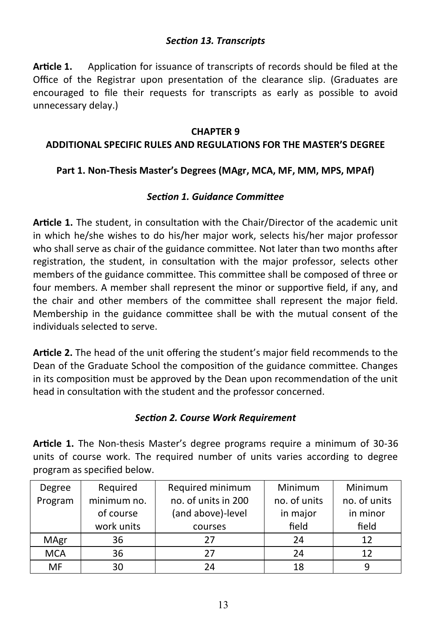### *Section 13. Transcripts*

**Article 1.** Application for issuance of transcripts of records should be filed at the Office of the Registrar upon presentation of the clearance slip. (Graduates are encouraged to file their requests for transcripts as early as possible to avoid unnecessary delay.)

#### **CHAPTER 9**

### **ADDITIONAL SPECIFIC RULES AND REGULATIONS FOR THE MASTER'S DEGREE**

# **Part 1. Non-Thesis Master's Degrees (MAgr, MCA, MF, MM, MPS, MPAf)**

#### *Section 1. Guidance Committee*

**Article 1.** The student, in consultation with the Chair/Director of the academic unit in which he/she wishes to do his/her major work, selects his/her major professor who shall serve as chair of the guidance committee. Not later than two months after registration, the student, in consultation with the major professor, selects other members of the guidance committee. This committee shall be composed of three or four members. A member shall represent the minor or supportive field, if any, and the chair and other members of the committee shall represent the major field. Membership in the guidance committee shall be with the mutual consent of the individuals selected to serve.

**Article 2.** The head of the unit offering the student's major field recommends to the Dean of the Graduate School the composition of the guidance committee. Changes in its composition must be approved by the Dean upon recommendation of the unit head in consultation with the student and the professor concerned.

# *Section 2. Course Work Requirement*

**Article 1.** The Non-thesis Master's degree programs require a minimum of 30-36 units of course work. The required number of units varies according to degree program as specified below.

| Degree     | Required    | Required minimum    | Minimum      | Minimum      |
|------------|-------------|---------------------|--------------|--------------|
| Program    | minimum no. | no. of units in 200 | no. of units | no. of units |
|            | of course   | (and above)-level   | in major     | in minor     |
|            | work units  | courses             | field        | field        |
| MAgr       | 36          | 27                  | 24           | 12           |
| <b>MCA</b> | 36          | 27                  | 24           | 12           |
| MF         | 30          | 24                  | 18           | q            |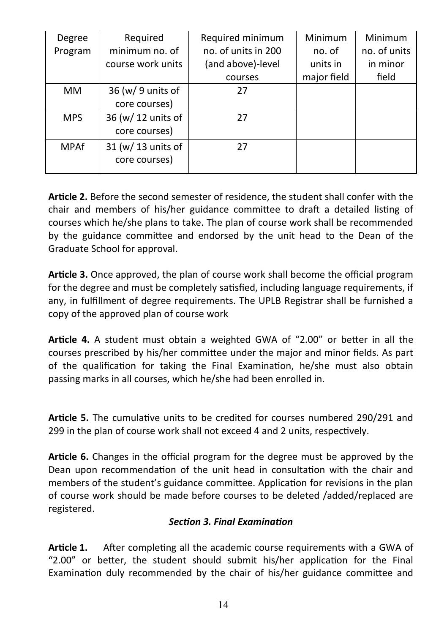| Degree      | Required           | Required minimum    | Minimum     | Minimum      |
|-------------|--------------------|---------------------|-------------|--------------|
| Program     | minimum no. of     | no. of units in 200 | no. of      | no. of units |
|             | course work units  | (and above)-level   | units in    | in minor     |
|             |                    | courses             | major field | field        |
| MМ          | 36 (w/ 9 units of  | 27                  |             |              |
|             | core courses)      |                     |             |              |
| <b>MPS</b>  | 36 (w/ 12 units of | 27                  |             |              |
|             | core courses)      |                     |             |              |
| <b>MPAf</b> | 31 (w/ 13 units of | 27                  |             |              |
|             | core courses)      |                     |             |              |

**Article 2.** Before the second semester of residence, the student shall confer with the chair and members of his/her guidance committee to draft a detailed listing of courses which he/she plans to take. The plan of course work shall be recommended by the guidance committee and endorsed by the unit head to the Dean of the Graduate School for approval.

**Article 3.** Once approved, the plan of course work shall become the official program for the degree and must be completely satisfied, including language requirements, if any, in fulfillment of degree requirements. The UPLB Registrar shall be furnished a copy of the approved plan of course work

**Article 4.** A student must obtain a weighted GWA of "2.00" or better in all the courses prescribed by his/her committee under the major and minor fields. As part of the qualification for taking the Final Examination, he/she must also obtain passing marks in all courses, which he/she had been enrolled in.

**Article 5.** The cumulative units to be credited for courses numbered 290/291 and 299 in the plan of course work shall not exceed 4 and 2 units, respectively.

**Article 6.** Changes in the official program for the degree must be approved by the Dean upon recommendation of the unit head in consultation with the chair and members of the student's guidance committee. Application for revisions in the plan of course work should be made before courses to be deleted /added/replaced are registered.

# *Section 3. Final Examination*

**Article 1.** After completing all the academic course requirements with a GWA of "2.00" or better, the student should submit his/her application for the Final Examination duly recommended by the chair of his/her guidance committee and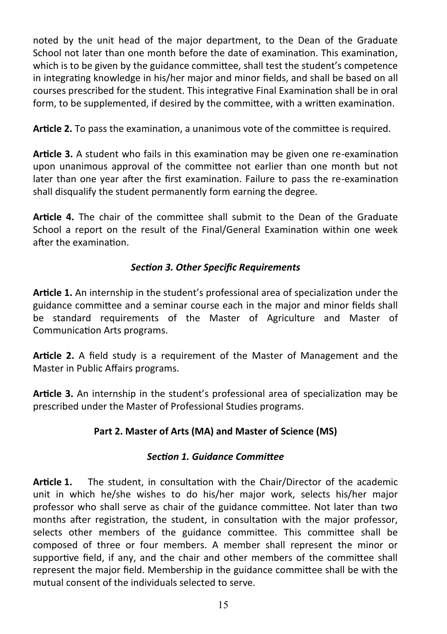noted by the unit head of the major department, to the Dean of the Graduate School not later than one month before the date of examination. This examination, which is to be given by the guidance committee, shall test the student's competence in integrating knowledge in his/her major and minor fields, and shall be based on all courses prescribed for the student. This integrative Final Examination shall be in oral form, to be supplemented, if desired by the committee, with a written examination.

**Article 2.** To pass the examination, a unanimous vote of the committee is required.

**Article 3.** A student who fails in this examination may be given one re-examination upon unanimous approval of the committee not earlier than one month but not later than one year after the first examination. Failure to pass the re-examination shall disqualify the student permanently form earning the degree.

**Article 4.** The chair of the committee shall submit to the Dean of the Graduate School a report on the result of the Final/General Examination within one week after the examination.

# *Section 3. Other Specific Requirements*

**Article 1.** An internship in the student's professional area of specialization under the guidance committee and a seminar course each in the major and minor fields shall be standard requirements of the Master of Agriculture and Master of Communication Arts programs.

**Article 2.** A field study is a requirement of the Master of Management and the Master in Public Affairs programs.

**Article 3.** An internship in the student's professional area of specialization may be prescribed under the Master of Professional Studies programs.

# **Part 2. Master of Arts (MA) and Master of Science (MS)**

# *Section 1. Guidance Committee*

**Article 1.** The student, in consultation with the Chair/Director of the academic unit in which he/she wishes to do his/her major work, selects his/her major professor who shall serve as chair of the guidance committee. Not later than two months after registration, the student, in consultation with the major professor, selects other members of the guidance committee. This committee shall be composed of three or four members. A member shall represent the minor or supportive field, if any, and the chair and other members of the committee shall represent the major field. Membership in the guidance committee shall be with the mutual consent of the individuals selected to serve.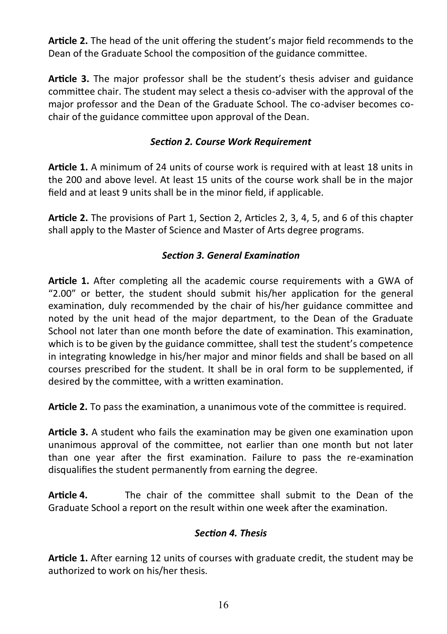**Article 2.** The head of the unit offering the student's major field recommends to the Dean of the Graduate School the composition of the guidance committee.

**Article 3.** The major professor shall be the student's thesis adviser and guidance committee chair. The student may select a thesis co-adviser with the approval of the major professor and the Dean of the Graduate School. The co-adviser becomes cochair of the guidance committee upon approval of the Dean.

# *Section 2. Course Work Requirement*

**Article 1.** A minimum of 24 units of course work is required with at least 18 units in the 200 and above level. At least 15 units of the course work shall be in the major field and at least 9 units shall be in the minor field, if applicable.

**Article 2.** The provisions of Part 1, Section 2, Articles 2, 3, 4, 5, and 6 of this chapter shall apply to the Master of Science and Master of Arts degree programs.

# *Section 3. General Examination*

**Article 1.** After completing all the academic course requirements with a GWA of "2.00" or better, the student should submit his/her application for the general examination, duly recommended by the chair of his/her guidance committee and noted by the unit head of the major department, to the Dean of the Graduate School not later than one month before the date of examination. This examination, which is to be given by the guidance committee, shall test the student's competence in integrating knowledge in his/her major and minor fields and shall be based on all courses prescribed for the student. It shall be in oral form to be supplemented, if desired by the committee, with a written examination.

**Article 2.** To pass the examination, a unanimous vote of the committee is required.

**Article 3.** A student who fails the examination may be given one examination upon unanimous approval of the committee, not earlier than one month but not later than one year after the first examination. Failure to pass the re-examination disqualifies the student permanently from earning the degree.

**Article 4.** The chair of the committee shall submit to the Dean of the Graduate School a report on the result within one week after the examination.

# *Section 4. Thesis*

**Article 1.** After earning 12 units of courses with graduate credit, the student may be authorized to work on his/her thesis.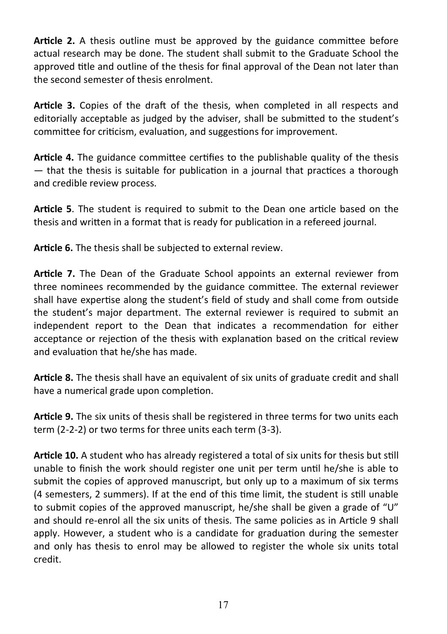**Article 2.** A thesis outline must be approved by the guidance committee before actual research may be done. The student shall submit to the Graduate School the approved title and outline of the thesis for final approval of the Dean not later than the second semester of thesis enrolment.

**Article 3.** Copies of the draft of the thesis, when completed in all respects and editorially acceptable as judged by the adviser, shall be submitted to the student's committee for criticism, evaluation, and suggestions for improvement.

**Article 4.** The guidance committee certifies to the publishable quality of the thesis — that the thesis is suitable for publication in a journal that practices a thorough and credible review process.

**Article 5**. The student is required to submit to the Dean one article based on the thesis and written in a format that is ready for publication in a refereed journal.

**Article 6.** The thesis shall be subjected to external review.

**Article 7.** The Dean of the Graduate School appoints an external reviewer from three nominees recommended by the guidance committee. The external reviewer shall have expertise along the student's field of study and shall come from outside the student's major department. The external reviewer is required to submit an independent report to the Dean that indicates a recommendation for either acceptance or rejection of the thesis with explanation based on the critical review and evaluation that he/she has made.

**Article 8.** The thesis shall have an equivalent of six units of graduate credit and shall have a numerical grade upon completion.

**Article 9.** The six units of thesis shall be registered in three terms for two units each term (2-2-2) or two terms for three units each term (3-3).

**Article 10.** A student who has already registered a total of six units for thesis but still unable to finish the work should register one unit per term until he/she is able to submit the copies of approved manuscript, but only up to a maximum of six terms (4 semesters, 2 summers). If at the end of this time limit, the student is still unable to submit copies of the approved manuscript, he/she shall be given a grade of "U" and should re-enrol all the six units of thesis. The same policies as in Article 9 shall apply. However, a student who is a candidate for graduation during the semester and only has thesis to enrol may be allowed to register the whole six units total credit.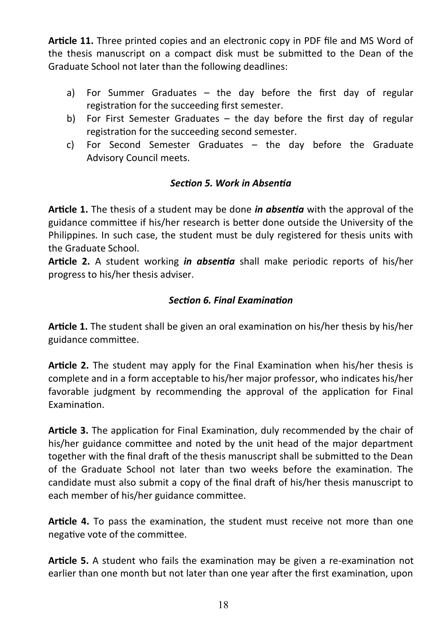**Article 11.** Three printed copies and an electronic copy in PDF file and MS Word of the thesis manuscript on a compact disk must be submitted to the Dean of the Graduate School not later than the following deadlines:

- a) For Summer Graduates the day before the first day of regular registration for the succeeding first semester.
- b) For First Semester Graduates the day before the first day of regular registration for the succeeding second semester.
- c) For Second Semester Graduates the day before the Graduate Advisory Council meets.

# *Section 5. Work in Absentia*

**Article 1.** The thesis of a student may be done *in absentia* with the approval of the guidance committee if his/her research is better done outside the University of the Philippines. In such case, the student must be duly registered for thesis units with the Graduate School.

**Article 2.** A student working *in absentia* shall make periodic reports of his/her progress to his/her thesis adviser.

### *Section 6. Final Examination*

**Article 1.** The student shall be given an oral examination on his/her thesis by his/her guidance committee.

**Article 2.** The student may apply for the Final Examination when his/her thesis is complete and in a form acceptable to his/her major professor, who indicates his/her favorable judgment by recommending the approval of the application for Final Examination.

**Article 3.** The application for Final Examination, duly recommended by the chair of his/her guidance committee and noted by the unit head of the major department together with the final draft of the thesis manuscript shall be submitted to the Dean of the Graduate School not later than two weeks before the examination. The candidate must also submit a copy of the final draft of his/her thesis manuscript to each member of his/her guidance committee.

**Article 4.** To pass the examination, the student must receive not more than one negative vote of the committee.

**Article 5.** A student who fails the examination may be given a re-examination not earlier than one month but not later than one year after the first examination, upon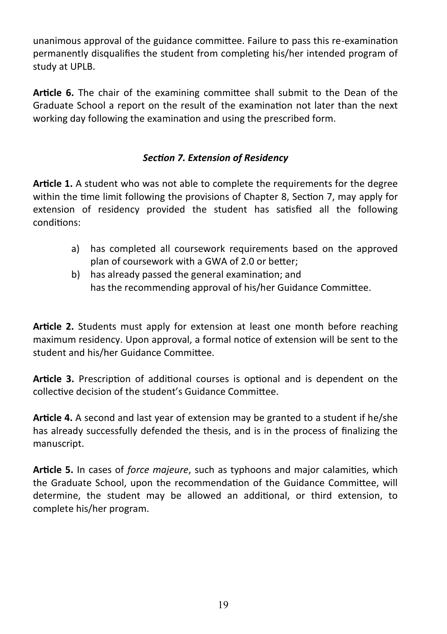unanimous approval of the guidance committee. Failure to pass this re-examination permanently disqualifies the student from completing his/her intended program of study at UPLB.

**Article 6.** The chair of the examining committee shall submit to the Dean of the Graduate School a report on the result of the examination not later than the next working day following the examination and using the prescribed form.

# *Section 7. Extension of Residency*

**Article 1.** A student who was not able to complete the requirements for the degree within the time limit following the provisions of Chapter 8, Section 7, may apply for extension of residency provided the student has satisfied all the following conditions:

- a) has completed all coursework requirements based on the approved plan of coursework with a GWA of 2.0 or better;
- b) has already passed the general examination; and has the recommending approval of his/her Guidance Committee.

**Article 2.** Students must apply for extension at least one month before reaching maximum residency. Upon approval, a formal notice of extension will be sent to the student and his/her Guidance Committee.

**Article 3.** Prescription of additional courses is optional and is dependent on the collective decision of the student's Guidance Committee.

**Article 4.** A second and last year of extension may be granted to a student if he/she has already successfully defended the thesis, and is in the process of finalizing the manuscript.

**Article 5.** In cases of *force majeure*, such as typhoons and major calamities, which the Graduate School, upon the recommendation of the Guidance Committee, will determine, the student may be allowed an additional, or third extension, to complete his/her program.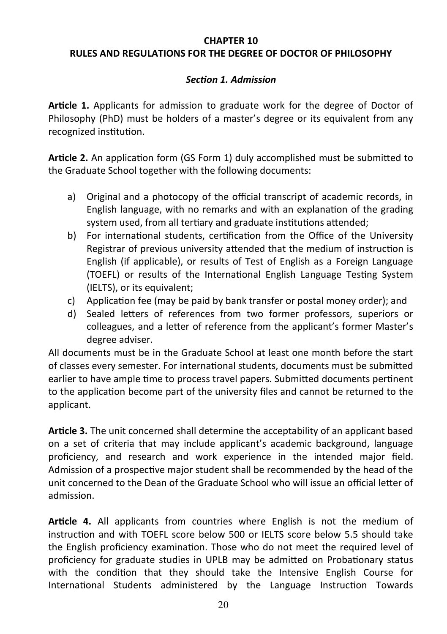### **CHAPTER 10 RULES AND REGULATIONS FOR THE DEGREE OF DOCTOR OF PHILOSOPHY**

### *Section 1. Admission*

**Article 1.** Applicants for admission to graduate work for the degree of Doctor of Philosophy (PhD) must be holders of a master's degree or its equivalent from any recognized institution.

**Article 2.** An application form (GS Form 1) duly accomplished must be submitted to the Graduate School together with the following documents:

- a) Original and a photocopy of the official transcript of academic records, in English language, with no remarks and with an explanation of the grading system used, from all tertiary and graduate institutions attended;
- b) For international students, certification from the Office of the University Registrar of previous university attended that the medium of instruction is English (if applicable), or results of Test of English as a Foreign Language (TOEFL) or results of the International English Language Testing System (IELTS), or its equivalent;
- c) Application fee (may be paid by bank transfer or postal money order); and
- d) Sealed letters of references from two former professors, superiors or colleagues, and a letter of reference from the applicant's former Master's degree adviser.

All documents must be in the Graduate School at least one month before the start of classes every semester. For international students, documents must be submitted earlier to have ample time to process travel papers. Submitted documents pertinent to the application become part of the university files and cannot be returned to the applicant.

**Article 3.** The unit concerned shall determine the acceptability of an applicant based on a set of criteria that may include applicant's academic background, language proficiency, and research and work experience in the intended major field. Admission of a prospective major student shall be recommended by the head of the unit concerned to the Dean of the Graduate School who will issue an official letter of admission.

**Article 4.** All applicants from countries where English is not the medium of instruction and with TOEFL score below 500 or IELTS score below 5.5 should take the English proficiency examination. Those who do not meet the required level of proficiency for graduate studies in UPLB may be admitted on Probationary status with the condition that they should take the Intensive English Course for International Students administered by the Language Instruction Towards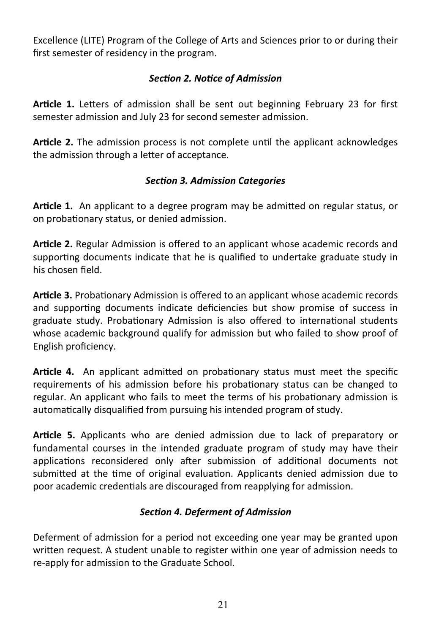Excellence (LITE) Program of the College of Arts and Sciences prior to or during their first semester of residency in the program.

# *Section 2. Notice of Admission*

**Article 1.** Letters of admission shall be sent out beginning February 23 for first semester admission and July 23 for second semester admission.

**Article 2.** The admission process is not complete until the applicant acknowledges the admission through a letter of acceptance.

# *Section 3. Admission Categories*

**Article 1.** An applicant to a degree program may be admitted on regular status, or on probationary status, or denied admission.

**Article 2.** Regular Admission is offered to an applicant whose academic records and supporting documents indicate that he is qualified to undertake graduate study in his chosen field.

**Article 3.** Probationary Admission is offered to an applicant whose academic records and supporting documents indicate deficiencies but show promise of success in graduate study. Probationary Admission is also offered to international students whose academic background qualify for admission but who failed to show proof of English proficiency.

**Article 4.** An applicant admitted on probationary status must meet the specific requirements of his admission before his probationary status can be changed to regular. An applicant who fails to meet the terms of his probationary admission is automatically disqualified from pursuing his intended program of study.

**Article 5.** Applicants who are denied admission due to lack of preparatory or fundamental courses in the intended graduate program of study may have their applications reconsidered only after submission of additional documents not submitted at the time of original evaluation. Applicants denied admission due to poor academic credentials are discouraged from reapplying for admission.

# *Section 4. Deferment of Admission*

Deferment of admission for a period not exceeding one year may be granted upon written request. A student unable to register within one year of admission needs to re-apply for admission to the Graduate School.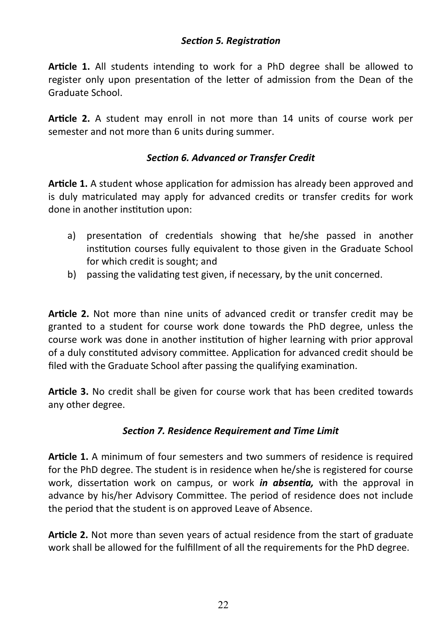### *Section 5. Registration*

**Article 1.** All students intending to work for a PhD degree shall be allowed to register only upon presentation of the letter of admission from the Dean of the Graduate School.

**Article 2.** A student may enroll in not more than 14 units of course work per semester and not more than 6 units during summer.

### *Section 6. Advanced or Transfer Credit*

**Article 1.** A student whose application for admission has already been approved and is duly matriculated may apply for advanced credits or transfer credits for work done in another institution upon:

- a) presentation of credentials showing that he/she passed in another institution courses fully equivalent to those given in the Graduate School for which credit is sought; and
- b) passing the validating test given, if necessary, by the unit concerned.

**Article 2.** Not more than nine units of advanced credit or transfer credit may be granted to a student for course work done towards the PhD degree, unless the course work was done in another institution of higher learning with prior approval of a duly constituted advisory committee. Application for advanced credit should be filed with the Graduate School after passing the qualifying examination.

**Article 3.** No credit shall be given for course work that has been credited towards any other degree.

#### *Section 7. Residence Requirement and Time Limit*

**Article 1.** A minimum of four semesters and two summers of residence is required for the PhD degree. The student is in residence when he/she is registered for course work, dissertation work on campus, or work *in absentia,* with the approval in advance by his/her Advisory Committee. The period of residence does not include the period that the student is on approved Leave of Absence.

**Article 2.** Not more than seven years of actual residence from the start of graduate work shall be allowed for the fulfillment of all the requirements for the PhD degree.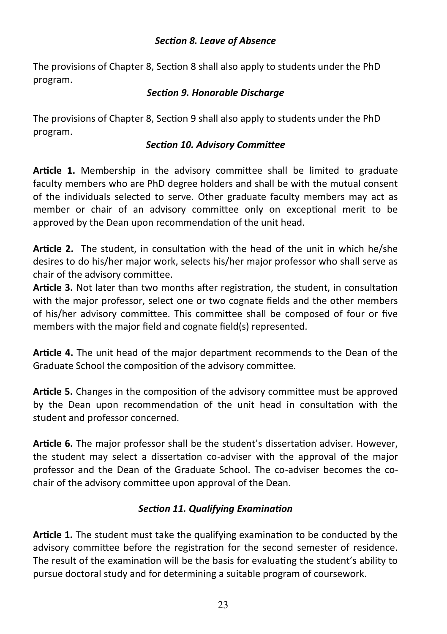### *Section 8. Leave of Absence*

The provisions of Chapter 8, Section 8 shall also apply to students under the PhD program.

#### *Section 9. Honorable Discharge*

The provisions of Chapter 8, Section 9 shall also apply to students under the PhD program.

### *Section 10. Advisory Committee*

**Article 1.** Membership in the advisory committee shall be limited to graduate faculty members who are PhD degree holders and shall be with the mutual consent of the individuals selected to serve. Other graduate faculty members may act as member or chair of an advisory committee only on exceptional merit to be approved by the Dean upon recommendation of the unit head.

**Article 2.** The student, in consultation with the head of the unit in which he/she desires to do his/her major work, selects his/her major professor who shall serve as chair of the advisory committee.

**Article 3.** Not later than two months after registration, the student, in consultation with the major professor, select one or two cognate fields and the other members of his/her advisory committee. This committee shall be composed of four or five members with the major field and cognate field(s) represented.

**Article 4.** The unit head of the major department recommends to the Dean of the Graduate School the composition of the advisory committee.

**Article 5.** Changes in the composition of the advisory committee must be approved by the Dean upon recommendation of the unit head in consultation with the student and professor concerned.

**Article 6.** The major professor shall be the student's dissertation adviser. However, the student may select a dissertation co-adviser with the approval of the major professor and the Dean of the Graduate School. The co-adviser becomes the cochair of the advisory committee upon approval of the Dean.

# *Section 11. Qualifying Examination*

**Article 1.** The student must take the qualifying examination to be conducted by the advisory committee before the registration for the second semester of residence. The result of the examination will be the basis for evaluating the student's ability to pursue doctoral study and for determining a suitable program of coursework.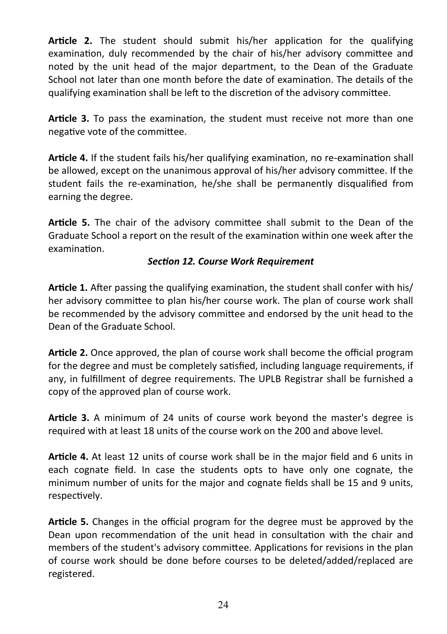**Article 2.** The student should submit his/her application for the qualifying examination, duly recommended by the chair of his/her advisory committee and noted by the unit head of the major department, to the Dean of the Graduate School not later than one month before the date of examination. The details of the qualifying examination shall be left to the discretion of the advisory committee.

**Article 3.** To pass the examination, the student must receive not more than one negative vote of the committee.

**Article 4.** If the student fails his/her qualifying examination, no re-examination shall be allowed, except on the unanimous approval of his/her advisory committee. If the student fails the re-examination, he/she shall be permanently disqualified from earning the degree.

**Article 5.** The chair of the advisory committee shall submit to the Dean of the Graduate School a report on the result of the examination within one week after the examination.

### *Section 12. Course Work Requirement*

**Article 1.** After passing the qualifying examination, the student shall confer with his/ her advisory committee to plan his/her course work. The plan of course work shall be recommended by the advisory committee and endorsed by the unit head to the Dean of the Graduate School.

**Article 2.** Once approved, the plan of course work shall become the official program for the degree and must be completely satisfied, including language requirements, if any, in fulfillment of degree requirements. The UPLB Registrar shall be furnished a copy of the approved plan of course work.

**Article 3.** A minimum of 24 units of course work beyond the master's degree is required with at least 18 units of the course work on the 200 and above level.

**Article 4.** At least 12 units of course work shall be in the major field and 6 units in each cognate field. In case the students opts to have only one cognate, the minimum number of units for the major and cognate fields shall be 15 and 9 units, respectively.

**Article 5.** Changes in the official program for the degree must be approved by the Dean upon recommendation of the unit head in consultation with the chair and members of the student's advisory committee. Applications for revisions in the plan of course work should be done before courses to be deleted/added/replaced are registered.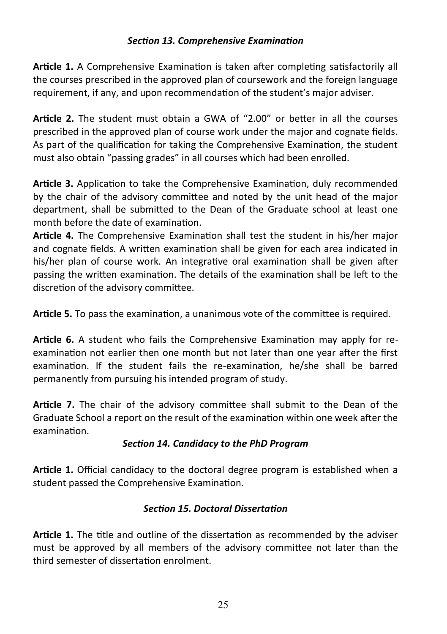### *Section 13. Comprehensive Examination*

**Article 1.** A Comprehensive Examination is taken after completing satisfactorily all the courses prescribed in the approved plan of coursework and the foreign language requirement, if any, and upon recommendation of the student's major adviser.

**Article 2.** The student must obtain a GWA of "2.00" or better in all the courses prescribed in the approved plan of course work under the major and cognate fields. As part of the qualification for taking the Comprehensive Examination, the student must also obtain "passing grades" in all courses which had been enrolled.

**Article 3.** Application to take the Comprehensive Examination, duly recommended by the chair of the advisory committee and noted by the unit head of the major department, shall be submitted to the Dean of the Graduate school at least one month before the date of examination.

**Article 4.** The Comprehensive Examination shall test the student in his/her major and cognate fields. A written examination shall be given for each area indicated in his/her plan of course work. An integrative oral examination shall be given after passing the written examination. The details of the examination shall be left to the discretion of the advisory committee.

**Article 5.** To pass the examination, a unanimous vote of the committee is required.

**Article 6.** A student who fails the Comprehensive Examination may apply for reexamination not earlier then one month but not later than one year after the first examination. If the student fails the re-examination, he/she shall be barred permanently from pursuing his intended program of study.

**Article 7.** The chair of the advisory committee shall submit to the Dean of the Graduate School a report on the result of the examination within one week after the examination.

# *Section 14. Candidacy to the PhD Program*

**Article 1.** Official candidacy to the doctoral degree program is established when a student passed the Comprehensive Examination.

# *Section 15. Doctoral Dissertation*

**Article 1.** The title and outline of the dissertation as recommended by the adviser must be approved by all members of the advisory committee not later than the third semester of dissertation enrolment.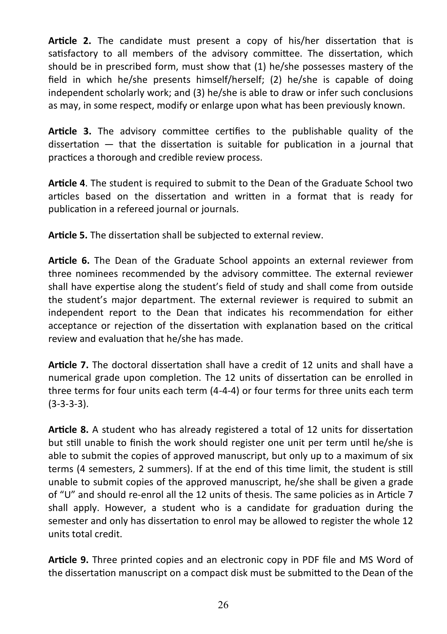**Article 2.** The candidate must present a copy of his/her dissertation that is satisfactory to all members of the advisory committee. The dissertation, which should be in prescribed form, must show that (1) he/she possesses mastery of the field in which he/she presents himself/herself; (2) he/she is capable of doing independent scholarly work; and (3) he/she is able to draw or infer such conclusions as may, in some respect, modify or enlarge upon what has been previously known.

**Article 3.** The advisory committee certifies to the publishable quality of the dissertation — that the dissertation is suitable for publication in a journal that practices a thorough and credible review process.

**Article 4**. The student is required to submit to the Dean of the Graduate School two articles based on the dissertation and written in a format that is ready for publication in a refereed journal or journals.

**Article 5.** The dissertation shall be subjected to external review.

**Article 6.** The Dean of the Graduate School appoints an external reviewer from three nominees recommended by the advisory committee. The external reviewer shall have expertise along the student's field of study and shall come from outside the student's major department. The external reviewer is required to submit an independent report to the Dean that indicates his recommendation for either acceptance or rejection of the dissertation with explanation based on the critical review and evaluation that he/she has made.

**Article 7.** The doctoral dissertation shall have a credit of 12 units and shall have a numerical grade upon completion. The 12 units of dissertation can be enrolled in three terms for four units each term (4-4-4) or four terms for three units each term (3-3-3-3).

**Article 8.** A student who has already registered a total of 12 units for dissertation but still unable to finish the work should register one unit per term until he/she is able to submit the copies of approved manuscript, but only up to a maximum of six terms (4 semesters, 2 summers). If at the end of this time limit, the student is still unable to submit copies of the approved manuscript, he/she shall be given a grade of "U" and should re-enrol all the 12 units of thesis. The same policies as in Article 7 shall apply. However, a student who is a candidate for graduation during the semester and only has dissertation to enrol may be allowed to register the whole 12 units total credit.

**Article 9.** Three printed copies and an electronic copy in PDF file and MS Word of the dissertation manuscript on a compact disk must be submitted to the Dean of the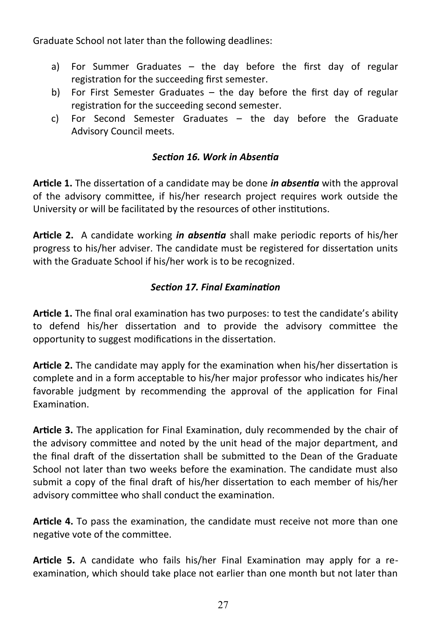Graduate School not later than the following deadlines:

- a) For Summer Graduates the day before the first day of regular registration for the succeeding first semester.
- b) For First Semester Graduates the day before the first day of regular registration for the succeeding second semester.
- c) For Second Semester Graduates the day before the Graduate Advisory Council meets.

### *Section 16. Work in Absentia*

**Article 1.** The dissertation of a candidate may be done *in absentia* with the approval of the advisory committee, if his/her research project requires work outside the University or will be facilitated by the resources of other institutions.

**Article 2.** A candidate working *in absentia* shall make periodic reports of his/her progress to his/her adviser. The candidate must be registered for dissertation units with the Graduate School if his/her work is to be recognized.

### *Section 17. Final Examination*

**Article 1.** The final oral examination has two purposes: to test the candidate's ability to defend his/her dissertation and to provide the advisory committee the opportunity to suggest modifications in the dissertation.

**Article 2.** The candidate may apply for the examination when his/her dissertation is complete and in a form acceptable to his/her major professor who indicates his/her favorable judgment by recommending the approval of the application for Final Examination.

**Article 3.** The application for Final Examination, duly recommended by the chair of the advisory committee and noted by the unit head of the major department, and the final draft of the dissertation shall be submitted to the Dean of the Graduate School not later than two weeks before the examination. The candidate must also submit a copy of the final draft of his/her dissertation to each member of his/her advisory committee who shall conduct the examination.

**Article 4.** To pass the examination, the candidate must receive not more than one negative vote of the committee.

**Article 5.** A candidate who fails his/her Final Examination may apply for a reexamination, which should take place not earlier than one month but not later than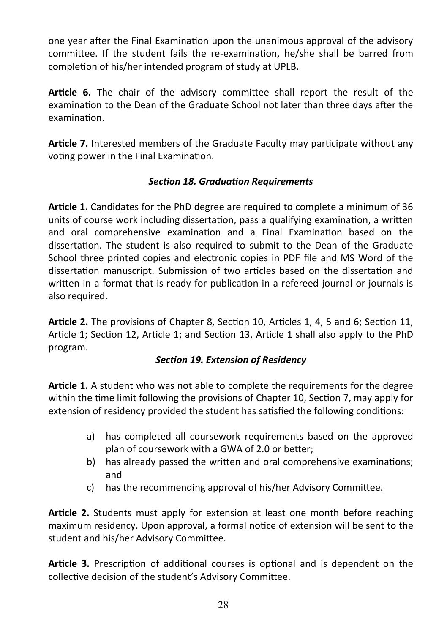one year after the Final Examination upon the unanimous approval of the advisory committee. If the student fails the re-examination, he/she shall be barred from completion of his/her intended program of study at UPLB.

**Article 6.** The chair of the advisory committee shall report the result of the examination to the Dean of the Graduate School not later than three days after the examination.

**Article 7.** Interested members of the Graduate Faculty may participate without any voting power in the Final Examination.

# *Section 18. Graduation Requirements*

**Article 1.** Candidates for the PhD degree are required to complete a minimum of 36 units of course work including dissertation, pass a qualifying examination, a written and oral comprehensive examination and a Final Examination based on the dissertation. The student is also required to submit to the Dean of the Graduate School three printed copies and electronic copies in PDF file and MS Word of the dissertation manuscript. Submission of two articles based on the dissertation and written in a format that is ready for publication in a refereed journal or journals is also required.

**Article 2.** The provisions of Chapter 8, Section 10, Articles 1, 4, 5 and 6; Section 11, Article 1; Section 12, Article 1; and Section 13, Article 1 shall also apply to the PhD program.

# *Section 19. Extension of Residency*

**Article 1.** A student who was not able to complete the requirements for the degree within the time limit following the provisions of Chapter 10, Section 7, may apply for extension of residency provided the student has satisfied the following conditions:

- a) has completed all coursework requirements based on the approved plan of coursework with a GWA of 2.0 or better;
- b) has already passed the written and oral comprehensive examinations; and
- c) has the recommending approval of his/her Advisory Committee.

**Article 2.** Students must apply for extension at least one month before reaching maximum residency. Upon approval, a formal notice of extension will be sent to the student and his/her Advisory Committee.

**Article 3.** Prescription of additional courses is optional and is dependent on the collective decision of the student's Advisory Committee.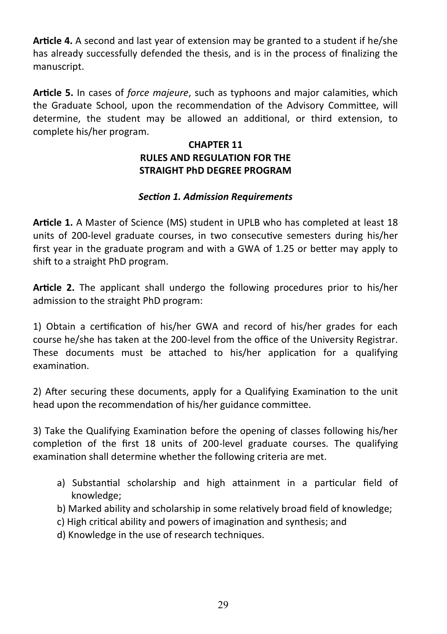**Article 4.** A second and last year of extension may be granted to a student if he/she has already successfully defended the thesis, and is in the process of finalizing the manuscript.

**Article 5.** In cases of *force majeure*, such as typhoons and major calamities, which the Graduate School, upon the recommendation of the Advisory Committee, will determine, the student may be allowed an additional, or third extension, to complete his/her program.

# **CHAPTER 11 RULES AND REGULATION FOR THE STRAIGHT PhD DEGREE PROGRAM**

# *Section 1. Admission Requirements*

**Article 1.** A Master of Science (MS) student in UPLB who has completed at least 18 units of 200-level graduate courses, in two consecutive semesters during his/her first year in the graduate program and with a GWA of 1.25 or better may apply to shift to a straight PhD program.

**Article 2.** The applicant shall undergo the following procedures prior to his/her admission to the straight PhD program:

1) Obtain a certification of his/her GWA and record of his/her grades for each course he/she has taken at the 200-level from the office of the University Registrar. These documents must be attached to his/her application for a qualifying examination.

2) After securing these documents, apply for a Qualifying Examination to the unit head upon the recommendation of his/her guidance committee.

3) Take the Qualifying Examination before the opening of classes following his/her completion of the first 18 units of 200-level graduate courses. The qualifying examination shall determine whether the following criteria are met.

- a) Substantial scholarship and high attainment in a particular field of knowledge;
- b) Marked ability and scholarship in some relatively broad field of knowledge;
- c) High critical ability and powers of imagination and synthesis; and
- d) Knowledge in the use of research techniques.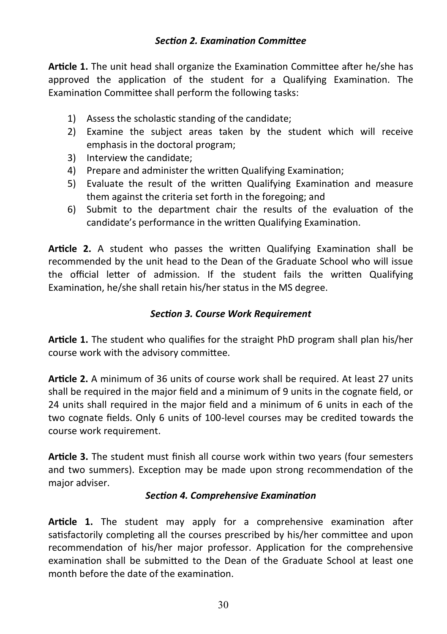### *Section 2. Examination Committee*

**Article 1.** The unit head shall organize the Examination Committee after he/she has approved the application of the student for a Qualifying Examination. The Examination Committee shall perform the following tasks:

- 1) Assess the scholastic standing of the candidate;
- 2) Examine the subject areas taken by the student which will receive emphasis in the doctoral program;
- 3) Interview the candidate;
- 4) Prepare and administer the written Qualifying Examination;
- 5) Evaluate the result of the written Qualifying Examination and measure them against the criteria set forth in the foregoing; and
- 6) Submit to the department chair the results of the evaluation of the candidate's performance in the written Qualifying Examination.

**Article 2.** A student who passes the written Qualifying Examination shall be recommended by the unit head to the Dean of the Graduate School who will issue the official letter of admission. If the student fails the written Qualifying Examination, he/she shall retain his/her status in the MS degree.

### *Section 3. Course Work Requirement*

**Article 1.** The student who qualifies for the straight PhD program shall plan his/her course work with the advisory committee.

**Article 2.** A minimum of 36 units of course work shall be required. At least 27 units shall be required in the major field and a minimum of 9 units in the cognate field, or 24 units shall required in the major field and a minimum of 6 units in each of the two cognate fields. Only 6 units of 100-level courses may be credited towards the course work requirement.

**Article 3.** The student must finish all course work within two years (four semesters and two summers). Exception may be made upon strong recommendation of the major adviser.

#### *Section 4. Comprehensive Examination*

**Article 1.** The student may apply for a comprehensive examination after satisfactorily completing all the courses prescribed by his/her committee and upon recommendation of his/her major professor. Application for the comprehensive examination shall be submitted to the Dean of the Graduate School at least one month before the date of the examination.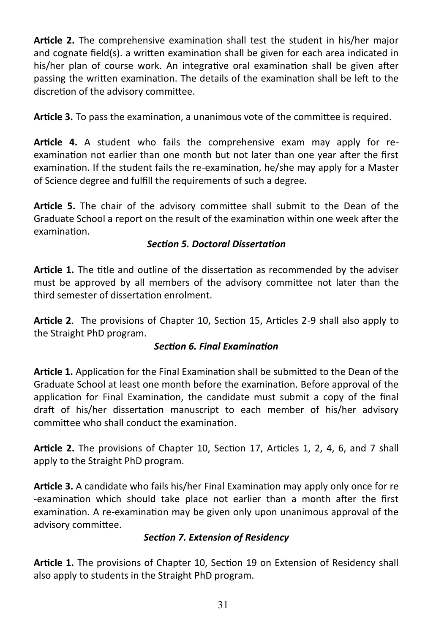**Article 2.** The comprehensive examination shall test the student in his/her major and cognate field(s). a written examination shall be given for each area indicated in his/her plan of course work. An integrative oral examination shall be given after passing the written examination. The details of the examination shall be left to the discretion of the advisory committee.

**Article 3.** To pass the examination, a unanimous vote of the committee is required.

**Article 4.** A student who fails the comprehensive exam may apply for reexamination not earlier than one month but not later than one year after the first examination. If the student fails the re-examination, he/she may apply for a Master of Science degree and fulfill the requirements of such a degree.

**Article 5.** The chair of the advisory committee shall submit to the Dean of the Graduate School a report on the result of the examination within one week after the examination.

# *Section 5. Doctoral Dissertation*

**Article 1.** The title and outline of the dissertation as recommended by the adviser must be approved by all members of the advisory committee not later than the third semester of dissertation enrolment.

**Article 2**. The provisions of Chapter 10, Section 15, Articles 2-9 shall also apply to the Straight PhD program.

# *Section 6. Final Examination*

**Article 1.** Application for the Final Examination shall be submitted to the Dean of the Graduate School at least one month before the examination. Before approval of the application for Final Examination, the candidate must submit a copy of the final draft of his/her dissertation manuscript to each member of his/her advisory committee who shall conduct the examination.

**Article 2.** The provisions of Chapter 10, Section 17, Articles 1, 2, 4, 6, and 7 shall apply to the Straight PhD program.

**Article 3.** A candidate who fails his/her Final Examination may apply only once for re -examination which should take place not earlier than a month after the first examination. A re-examination may be given only upon unanimous approval of the advisory committee.

# *Section 7. Extension of Residency*

**Article 1.** The provisions of Chapter 10, Section 19 on Extension of Residency shall also apply to students in the Straight PhD program.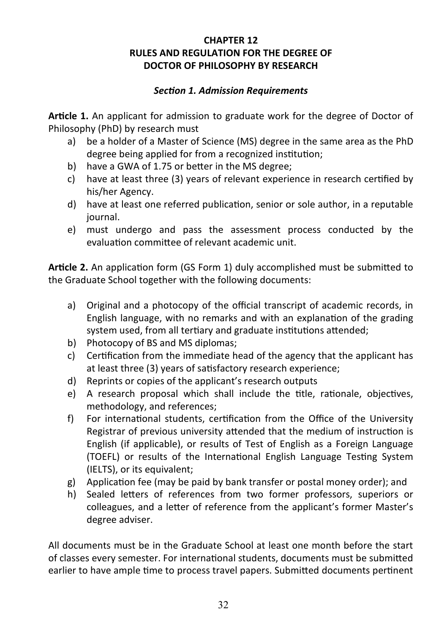### **CHAPTER 12 RULES AND REGULATION FOR THE DEGREE OF DOCTOR OF PHILOSOPHY BY RESEARCH**

### *Section 1. Admission Requirements*

**Article 1.** An applicant for admission to graduate work for the degree of Doctor of Philosophy (PhD) by research must

- a) be a holder of a Master of Science (MS) degree in the same area as the PhD degree being applied for from a recognized institution;
- b) have a GWA of 1.75 or better in the MS degree;
- c) have at least three (3) years of relevant experience in research certified by his/her Agency.
- d) have at least one referred publication, senior or sole author, in a reputable journal.
- e) must undergo and pass the assessment process conducted by the evaluation committee of relevant academic unit.

**Article 2.** An application form (GS Form 1) duly accomplished must be submitted to the Graduate School together with the following documents:

- a) Original and a photocopy of the official transcript of academic records, in English language, with no remarks and with an explanation of the grading system used, from all tertiary and graduate institutions attended;
- b) Photocopy of BS and MS diplomas;
- c) Certification from the immediate head of the agency that the applicant has at least three (3) years of satisfactory research experience;
- d) Reprints or copies of the applicant's research outputs
- e) A research proposal which shall include the title, rationale, objectives, methodology, and references;
- f) For international students, certification from the Office of the University Registrar of previous university attended that the medium of instruction is English (if applicable), or results of Test of English as a Foreign Language (TOEFL) or results of the International English Language Testing System (IELTS), or its equivalent;
- g) Application fee (may be paid by bank transfer or postal money order); and
- h) Sealed letters of references from two former professors, superiors or colleagues, and a letter of reference from the applicant's former Master's degree adviser.

All documents must be in the Graduate School at least one month before the start of classes every semester. For international students, documents must be submitted earlier to have ample time to process travel papers. Submitted documents pertinent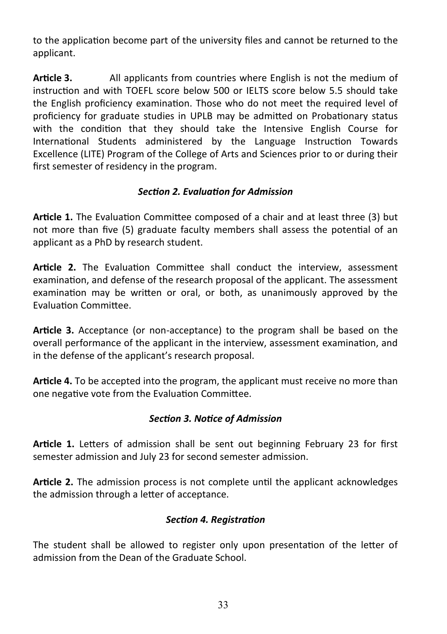to the application become part of the university files and cannot be returned to the applicant.

**Article 3.** All applicants from countries where English is not the medium of instruction and with TOEFL score below 500 or IELTS score below 5.5 should take the English proficiency examination. Those who do not meet the required level of proficiency for graduate studies in UPLB may be admitted on Probationary status with the condition that they should take the Intensive English Course for International Students administered by the Language Instruction Towards Excellence (LITE) Program of the College of Arts and Sciences prior to or during their first semester of residency in the program.

# *Section 2. Evaluation for Admission*

**Article 1.** The Evaluation Committee composed of a chair and at least three (3) but not more than five (5) graduate faculty members shall assess the potential of an applicant as a PhD by research student.

**Article 2.** The Evaluation Committee shall conduct the interview, assessment examination, and defense of the research proposal of the applicant. The assessment examination may be written or oral, or both, as unanimously approved by the Evaluation Committee.

**Article 3.** Acceptance (or non-acceptance) to the program shall be based on the overall performance of the applicant in the interview, assessment examination, and in the defense of the applicant's research proposal.

**Article 4.** To be accepted into the program, the applicant must receive no more than one negative vote from the Evaluation Committee.

# *Section 3. Notice of Admission*

**Article 1.** Letters of admission shall be sent out beginning February 23 for first semester admission and July 23 for second semester admission.

**Article 2.** The admission process is not complete until the applicant acknowledges the admission through a letter of acceptance.

# *Section 4. Registration*

The student shall be allowed to register only upon presentation of the letter of admission from the Dean of the Graduate School.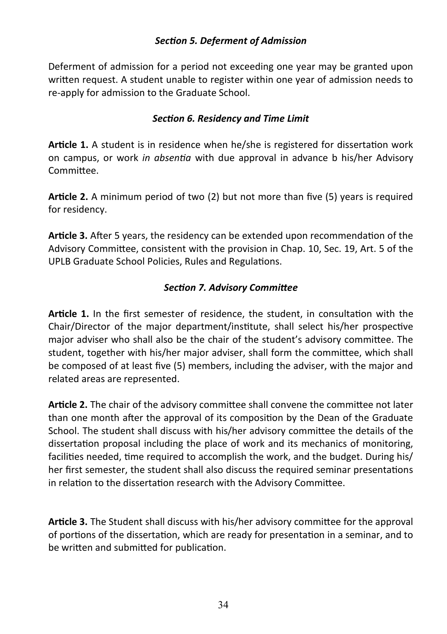### *Section 5. Deferment of Admission*

Deferment of admission for a period not exceeding one year may be granted upon written request. A student unable to register within one year of admission needs to re-apply for admission to the Graduate School.

### *Section 6. Residency and Time Limit*

**Article 1.** A student is in residence when he/she is registered for dissertation work on campus, or work *in absentia* with due approval in advance b his/her Advisory Committee.

**Article 2.** A minimum period of two (2) but not more than five (5) years is required for residency.

**Article 3.** After 5 years, the residency can be extended upon recommendation of the Advisory Committee, consistent with the provision in Chap. 10, Sec. 19, Art. 5 of the UPLB Graduate School Policies, Rules and Regulations.

# *Section 7. Advisory Committee*

**Article 1.** In the first semester of residence, the student, in consultation with the Chair/Director of the major department/institute, shall select his/her prospective major adviser who shall also be the chair of the student's advisory committee. The student, together with his/her major adviser, shall form the committee, which shall be composed of at least five (5) members, including the adviser, with the major and related areas are represented.

**Article 2.** The chair of the advisory committee shall convene the committee not later than one month after the approval of its composition by the Dean of the Graduate School. The student shall discuss with his/her advisory committee the details of the dissertation proposal including the place of work and its mechanics of monitoring, facilities needed, time required to accomplish the work, and the budget. During his/ her first semester, the student shall also discuss the required seminar presentations in relation to the dissertation research with the Advisory Committee.

**Article 3.** The Student shall discuss with his/her advisory committee for the approval of portions of the dissertation, which are ready for presentation in a seminar, and to be written and submitted for publication.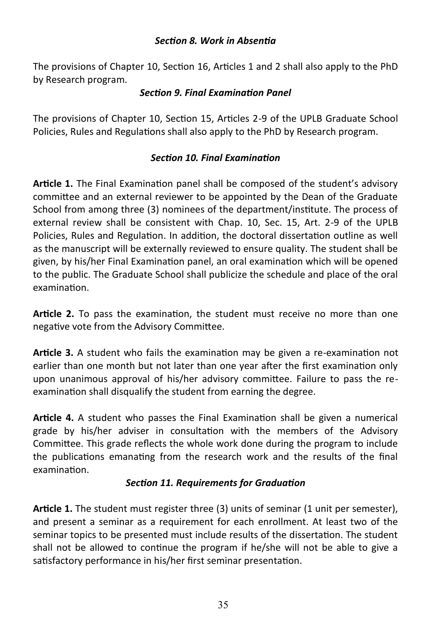#### *Section 8. Work in Absentia*

The provisions of Chapter 10, Section 16, Articles 1 and 2 shall also apply to the PhD by Research program.

#### *Section 9. Final Examination Panel*

The provisions of Chapter 10, Section 15, Articles 2-9 of the UPLB Graduate School Policies, Rules and Regulations shall also apply to the PhD by Research program.

# *Section 10. Final Examination*

**Article 1.** The Final Examination panel shall be composed of the student's advisory committee and an external reviewer to be appointed by the Dean of the Graduate School from among three (3) nominees of the department/institute. The process of external review shall be consistent with Chap. 10, Sec. 15, Art. 2-9 of the UPLB Policies, Rules and Regulation. In addition, the doctoral dissertation outline as well as the manuscript will be externally reviewed to ensure quality. The student shall be given, by his/her Final Examination panel, an oral examination which will be opened to the public. The Graduate School shall publicize the schedule and place of the oral examination.

**Article 2.** To pass the examination, the student must receive no more than one negative vote from the Advisory Committee.

**Article 3.** A student who fails the examination may be given a re-examination not earlier than one month but not later than one year after the first examination only upon unanimous approval of his/her advisory committee. Failure to pass the reexamination shall disqualify the student from earning the degree.

**Article 4.** A student who passes the Final Examination shall be given a numerical grade by his/her adviser in consultation with the members of the Advisory Committee. This grade reflects the whole work done during the program to include the publications emanating from the research work and the results of the final examination.

# *Section 11. Requirements for Graduation*

**Article 1.** The student must register three (3) units of seminar (1 unit per semester), and present a seminar as a requirement for each enrollment. At least two of the seminar topics to be presented must include results of the dissertation. The student shall not be allowed to continue the program if he/she will not be able to give a satisfactory performance in his/her first seminar presentation.